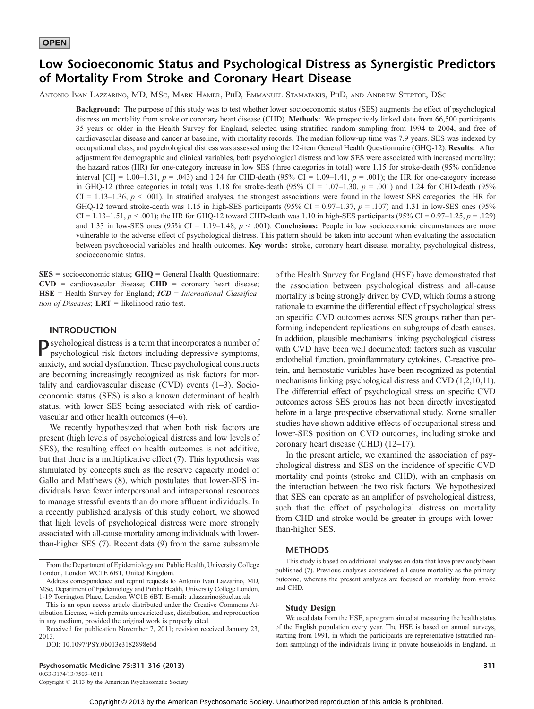# Low Socioeconomic Status and Psychological Distress as Synergistic Predictors of Mortality From Stroke and Coronary Heart Disease

ANTONIO IVAN LAZZARINO, MD, MSC, MARK HAMER, PHD, EMMANUEL STAMATAKIS, PHD, AND ANDREW STEPTOE, DSC

Background: The purpose of this study was to test whether lower socioeconomic status (SES) augments the effect of psychological distress on mortality from stroke or coronary heart disease (CHD). Methods: We prospectively linked data from 66,500 participants 35 years or older in the Health Survey for England, selected using stratified random sampling from 1994 to 2004, and free of cardiovascular disease and cancer at baseline, with mortality records. The median follow-up time was 7.9 years. SES was indexed by occupational class, and psychological distress was assessed using the 12-item General Health Questionnaire (GHQ-12). Results: After adjustment for demographic and clinical variables, both psychological distress and low SES were associated with increased mortality: the hazard ratios (HR) for one-category increase in low SES (three categories in total) were 1.15 for stroke-death (95% confidence interval  $[CI] = 1.00-1.31$ ,  $p = .043$ ) and 1.24 for CHD-death (95% CI = 1.09-1.41,  $p = .001$ ); the HR for one-category increase in GHQ-12 (three categories in total) was 1.18 for stroke-death (95% CI = 1.07–1.30,  $p = .001$ ) and 1.24 for CHD-death (95%  $CI = 1.13-1.36$ ,  $p < .001$ ). In stratified analyses, the strongest associations were found in the lowest SES categories: the HR for GHQ-12 toward stroke-death was 1.15 in high-SES participants (95% CI = 0.97–1.37,  $p = .107$ ) and 1.31 in low-SES ones (95%) CI = 1.13-1.51,  $p < .001$ ; the HR for GHQ-12 toward CHD-death was 1.10 in high-SES participants (95% CI = 0.97-1.25,  $p = .129$ ) and 1.33 in low-SES ones (95% CI = 1.19–1.48,  $p < .001$ ). Conclusions: People in low socioeconomic circumstances are more vulnerable to the adverse effect of psychological distress. This pattern should be taken into account when evaluating the association between psychosocial variables and health outcomes. Key words: stroke, coronary heart disease, mortality, psychological distress, socioeconomic status.

 $SES = \text{socioeconomic status}; GHQ = \text{General Health Questionnaire};$ CVD = cardiovascular disease; CHD = coronary heart disease;  $HSE$  = Health Survey for England;  $ICD$  = International Classification of Diseases;  $LRT$  = likelihood ratio test.

### INTRODUCTION

Psychological distress is a term that incorporates a number of psychological risk factors including depressive symptoms, anxiety, and social dysfunction. These psychological constructs are becoming increasingly recognized as risk factors for mortality and cardiovascular disease  $(CVD)$  events  $(1-3)$ . Socioeconomic status (SES) is also a known determinant of health status, with lower SES being associated with risk of cardiovascular and other health outcomes  $(4-6)$ .

We recently hypothesized that when both risk factors are present (high levels of psychological distress and low levels of SES), the resulting effect on health outcomes is not additive, but that there is a multiplicative effect (7). This hypothesis was stimulated by concepts such as the reserve capacity model of Gallo and Matthews (8), which postulates that lower-SES individuals have fewer interpersonal and intrapersonal resources to manage stressful events than do more affluent individuals. In a recently published analysis of this study cohort, we showed that high levels of psychological distress were more strongly associated with all-cause mortality among individuals with lowerthan-higher SES (7). Recent data (9) from the same subsample

DOI: 10.1097/PSY.0b013e3182898e6d

Psychosomatic Medicine 75:311–316 (2013) 311 0033-3174/13/7503-0311

Copyright  $@$  2013 by the American Psychosomatic Society

of the Health Survey for England (HSE) have demonstrated that the association between psychological distress and all-cause mortality is being strongly driven by CVD, which forms a strong rationale to examine the differential effect of psychological stress on specific CVD outcomes across SES groups rather than performing independent replications on subgroups of death causes. In addition, plausible mechanisms linking psychological distress with CVD have been well documented: factors such as vascular endothelial function, proinflammatory cytokines, C-reactive protein, and hemostatic variables have been recognized as potential mechanisms linking psychological distress and CVD (1,2,10,11). The differential effect of psychological stress on specific CVD outcomes across SES groups has not been directly investigated before in a large prospective observational study. Some smaller studies have shown additive effects of occupational stress and lower-SES position on CVD outcomes, including stroke and coronary heart disease (CHD)  $(12-17)$ .

In the present article, we examined the association of psychological distress and SES on the incidence of specific CVD mortality end points (stroke and CHD), with an emphasis on the interaction between the two risk factors. We hypothesized that SES can operate as an amplifier of psychological distress, such that the effect of psychological distress on mortality from CHD and stroke would be greater in groups with lowerthan-higher SES.

### METHODS

### Study Design

From the Department of Epidemiology and Public Health, University College London, London WC1E 6BT, United Kingdom.

Address correspondence and reprint requests to Antonio Ivan Lazzarino, MD, MSc, Department of Epidemiology and Public Health, University College London, 1-19 Torrington Place, London WC1E 6BT. E-mail: a.lazzarino@ucl.ac.uk

This is an open access article distributed under the Creative Commons Attribution License, which permits unrestricted use, distribution, and reproduction in any medium, provided the original work is properly cited.

Received for publication November 7, 2011; revision received January 23, 2013.

This study is based on additional analyses on data that have previously been published (7). Previous analyses considered all-cause mortality as the primary outcome, whereas the present analyses are focused on mortality from stroke and CHD.

We used data from the HSE, a program aimed at measuring the health status of the English population every year. The HSE is based on annual surveys, starting from 1991, in which the participants are representative (stratified random sampling) of the individuals living in private households in England. In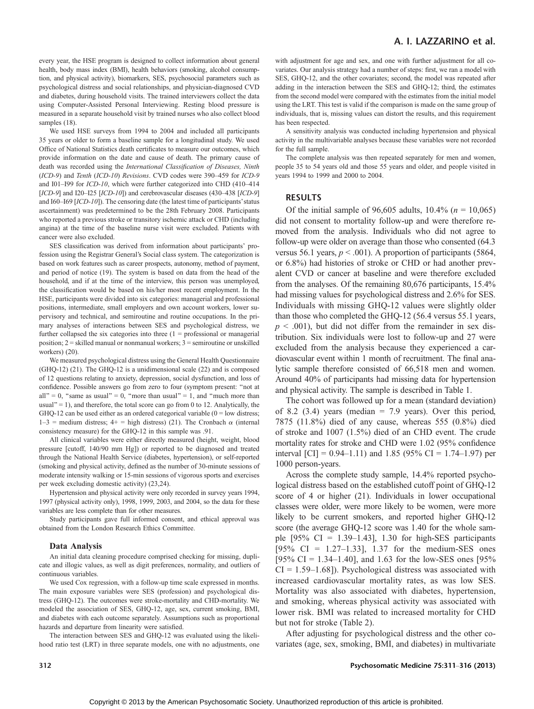every year, the HSE program is designed to collect information about general health, body mass index (BMI), health behaviors (smoking, alcohol consumption, and physical activity), biomarkers, SES, psychosocial parameters such as psychological distress and social relationships, and physician-diagnosed CVD and diabetes, during household visits. The trained interviewers collect the data using Computer-Assisted Personal Interviewing. Resting blood pressure is measured in a separate household visit by trained nurses who also collect blood samples (18).

We used HSE surveys from 1994 to 2004 and included all participants 35 years or older to form a baseline sample for a longitudinal study. We used Office of National Statistics death certificates to measure our outcomes, which provide information on the date and cause of death. The primary cause of death was recorded using the International Classification of Diseases, Ninth (ICD-9) and Tenth (ICD-10) Revisions. CVD codes were 390-459 for ICD-9 and I01-I99 for ICD-10, which were further categorized into CHD (410-414  $[ICD-9]$  and I20-I25  $[ICD-10]$ ) and cerebrovascular diseases (430-438  $[ICD-9]$ and  $I60-I69$   $[ICD-I0]$ ). The censoring date (the latest time of participants' status ascertainment) was predetermined to be the 28th February 2008. Participants who reported a previous stroke or transitory ischemic attack or CHD (including angina) at the time of the baseline nurse visit were excluded. Patients with cancer were also excluded.

SES classification was derived from information about participants' profession using the Registrar General's Social class system. The categorization is based on work features such as career prospects, autonomy, method of payment, and period of notice (19). The system is based on data from the head of the household, and if at the time of the interview, this person was unemployed, the classification would be based on his/her most recent employment. In the HSE, participants were divided into six categories: managerial and professional positions, intermediate, small employers and own account workers, lower supervisory and technical, and semiroutine and routine occupations. In the primary analyses of interactions between SES and psychological distress, we further collapsed the six categories into three  $(1 =$  professional or managerial position;  $2 =$  skilled manual or nonmanual workers;  $3 =$  semiroutine or unskilled workers) (20).

We measured psychological distress using the General Health Questionnaire (GHQ-12) (21). The GHQ-12 is a unidimensional scale (22) and is composed of 12 questions relating to anxiety, depression, social dysfunction, and loss of confidence. Possible answers go from zero to four (symptom present: ''not at all" = 0, "same as usual" = 0, "more than usual" = 1, and "much more than usual" = 1), and therefore, the total score can go from 0 to 12. Analytically, the GHQ-12 can be used either as an ordered categorical variable  $(0 = low \, \, \text{distress};$  $1-3$  = medium distress;  $4+$  = high distress) (21). The Cronbach  $\alpha$  (internal consistency measure) for the GHQ-12 in this sample was .91.

All clinical variables were either directly measured (height, weight, blood pressure [cutoff, 140/90 mm Hg]) or reported to be diagnosed and treated through the National Health Service (diabetes, hypertension), or self-reported (smoking and physical activity, defined as the number of 30-minute sessions of moderate intensity walking or 15-min sessions of vigorous sports and exercises per week excluding domestic activity) (23,24).

Hypertension and physical activity were only recorded in survey years 1994, 1997 (physical activity only), 1998, 1999, 2003, and 2004, so the data for these variables are less complete than for other measures.

Study participants gave full informed consent, and ethical approval was obtained from the London Research Ethics Committee.

### Data Analysis

An initial data cleaning procedure comprised checking for missing, duplicate and illogic values, as well as digit preferences, normality, and outliers of continuous variables.

We used Cox regression, with a follow-up time scale expressed in months. The main exposure variables were SES (profession) and psychological distress (GHQ-12). The outcomes were stroke-mortality and CHD-mortality. We modeled the association of SES, GHQ-12, age, sex, current smoking, BMI, and diabetes with each outcome separately. Assumptions such as proportional hazards and departure from linearity were satisfied.

The interaction between SES and GHQ-12 was evaluated using the likelihood ratio test (LRT) in three separate models, one with no adjustments, one with adjustment for age and sex, and one with further adjustment for all covariates. Our analysis strategy had a number of steps: first, we ran a model with SES, GHQ-12, and the other covariates; second, the model was repeated after adding in the interaction between the SES and GHQ-12; third, the estimates from the second model were compared with the estimates from the initial model using the LRT. This test is valid if the comparison is made on the same group of individuals, that is, missing values can distort the results, and this requirement has been respected.

A sensitivity analysis was conducted including hypertension and physical activity in the multivariable analyses because these variables were not recorded for the full sample.

The complete analysis was then repeated separately for men and women, people 35 to 54 years old and those 55 years and older, and people visited in years 1994 to 1999 and 2000 to 2004.

# RESULTS

Of the initial sample of 96,605 adults,  $10.4\%$  ( $n = 10,065$ ) did not consent to mortality follow-up and were therefore removed from the analysis. Individuals who did not agree to follow-up were older on average than those who consented (64.3 versus 56.1 years,  $p < .001$ ). A proportion of participants (5864, or 6.8%) had histories of stroke or CHD or had another prevalent CVD or cancer at baseline and were therefore excluded from the analyses. Of the remaining 80,676 participants, 15.4% had missing values for psychological distress and 2.6% for SES. Individuals with missing GHQ-12 values were slightly older than those who completed the GHQ-12 (56.4 versus 55.1 years,  $p < .001$ ), but did not differ from the remainder in sex distribution. Six individuals were lost to follow-up and 27 were excluded from the analysis because they experienced a cardiovascular event within 1 month of recruitment. The final analytic sample therefore consisted of 66,518 men and women. Around 40% of participants had missing data for hypertension and physical activity. The sample is described in Table 1.

The cohort was followed up for a mean (standard deviation) of 8.2 (3.4) years (median  $= 7.9$  years). Over this period, 7875 (11.8%) died of any cause, whereas 555 (0.8%) died of stroke and 1007 (1.5%) died of an CHD event. The crude mortality rates for stroke and CHD were 1.02 (95% confidence interval  $\text{[CI]} = 0.94{\text{-}1.11}$  and 1.85 (95% CI = 1.74-1.97) per 1000 person-years.

Across the complete study sample, 14.4% reported psychological distress based on the established cutoff point of GHQ-12 score of 4 or higher (21). Individuals in lower occupational classes were older, were more likely to be women, were more likely to be current smokers, and reported higher GHQ-12 score (the average GHQ-12 score was 1.40 for the whole sample  $[95\% \text{ CI} = 1.39 \text{--} 1.43]$ , 1.30 for high-SES participants  $[95\% \text{ CI} = 1.27 - 1.33], 1.37 \text{ for the medium-SES ones}$ [95% CI = 1.34–1.40], and 1.63 for the low-SES ones [95%]  $CI = 1.59-1.68$ ]). Psychological distress was associated with increased cardiovascular mortality rates, as was low SES. Mortality was also associated with diabetes, hypertension, and smoking, whereas physical activity was associated with lower risk. BMI was related to increased mortality for CHD but not for stroke (Table 2).

After adjusting for psychological distress and the other covariates (age, sex, smoking, BMI, and diabetes) in multivariate

### 312 **Psychosomatic Medicine 75:311-316 (2013)** Psychosomatic Medicine 75:311-316 (2013)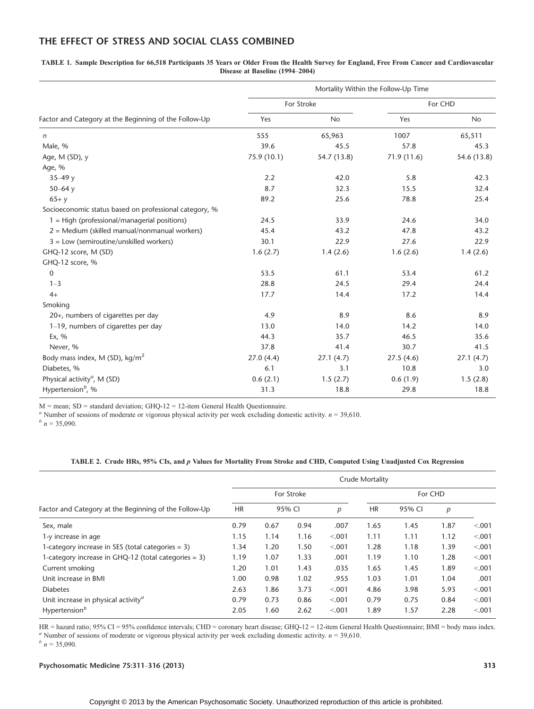# THE EFFECT OF STRESS AND SOCIAL CLASS COMBINED

TABLE 1. Sample Description for 66,518 Participants 35 Years or Older From the Health Survey for England, Free From Cancer and Cardiovascular Disease at Baseline (1994-2004)

|                                                        | Mortality Within the Follow-Up Time |             |             |             |  |  |  |  |
|--------------------------------------------------------|-------------------------------------|-------------|-------------|-------------|--|--|--|--|
|                                                        | For Stroke                          |             | For CHD     |             |  |  |  |  |
| Factor and Category at the Beginning of the Follow-Up  | Yes                                 | <b>No</b>   | Yes         | <b>No</b>   |  |  |  |  |
| n                                                      | 555                                 | 65,963      | 1007        | 65,511      |  |  |  |  |
| Male, %                                                | 39.6                                | 45.5        | 57.8        | 45.3        |  |  |  |  |
| Age, M (SD), y                                         | 75.9 (10.1)                         | 54.7 (13.8) | 71.9 (11.6) | 54.6 (13.8) |  |  |  |  |
| Age, %                                                 |                                     |             |             |             |  |  |  |  |
| $35 - 49y$                                             | 2.2                                 | 42.0        | 5.8         | 42.3        |  |  |  |  |
| 50 $-64y$                                              | 8.7                                 | 32.3        | 15.5        | 32.4        |  |  |  |  |
| $65+ y$                                                | 89.2                                | 25.6        | 78.8        | 25.4        |  |  |  |  |
| Socioeconomic status based on professional category, % |                                     |             |             |             |  |  |  |  |
| $1 = High (professional/manaqerial positions)$         | 24.5                                | 33.9        | 24.6        | 34.0        |  |  |  |  |
| $2 =$ Medium (skilled manual/nonmanual workers)        | 45.4                                | 43.2        | 47.8        | 43.2        |  |  |  |  |
| $3 =$ Low (semiroutine/unskilled workers)              | 30.1                                | 22.9        | 27.6        | 22.9        |  |  |  |  |
| GHQ-12 score, M (SD)                                   | 1.6(2.7)                            | 1.4(2.6)    | 1.6(2.6)    | 1.4(2.6)    |  |  |  |  |
| GHQ-12 score, %                                        |                                     |             |             |             |  |  |  |  |
| $\mathbf{0}$                                           | 53.5                                | 61.1        | 53.4        | 61.2        |  |  |  |  |
| $1 - 3$                                                | 28.8                                | 24.5        | 29.4        | 24.4        |  |  |  |  |
| $4+$                                                   | 17.7                                | 14.4        | 17.2        | 14.4        |  |  |  |  |
| Smoking                                                |                                     |             |             |             |  |  |  |  |
| 20+, numbers of cigarettes per day                     | 4.9                                 | 8.9         | 8.6         | 8.9         |  |  |  |  |
| 1–19, numbers of cigarettes per day                    | 13.0                                | 14.0        | 14.2        | 14.0        |  |  |  |  |
| Ex, $%$                                                | 44.3                                | 35.7        | 46.5        | 35.6        |  |  |  |  |
| Never, %                                               | 37.8                                | 41.4        | 30.7        | 41.5        |  |  |  |  |
| Body mass index, M (SD), kg/m <sup>2</sup>             | 27.0(4.4)                           | 27.1(4.7)   | 27.5(4.6)   | 27.1(4.7)   |  |  |  |  |
| Diabetes, %                                            | 6.1                                 | 3.1         | 10.8        | 3.0         |  |  |  |  |
| Physical activity <sup><i>a</i></sup> , M (SD)         | 0.6(2.1)                            | 1.5(2.7)    | 0.6(1.9)    | 1.5(2.8)    |  |  |  |  |
| Hypertension <sup>b</sup> , %                          | 31.3                                | 18.8        | 29.8        | 18.8        |  |  |  |  |

 $M$  = mean; SD = standard deviation; GHQ-12 = 12-item General Health Questionnaire.

<sup>a</sup> Number of sessions of moderate or vigorous physical activity per week excluding domestic activity.  $n = 39,610$ .  $\frac{b}{n} = 35,090$ .

## TABLE 2. Crude HRs, 95% CIs, and p Values for Mortality From Stroke and CHD, Computed Using Unadjusted Cox Regression

|                                                        | Crude Mortality     |      |               |                          |         |      |      |         |  |
|--------------------------------------------------------|---------------------|------|---------------|--------------------------|---------|------|------|---------|--|
|                                                        | For Stroke          |      |               |                          | For CHD |      |      |         |  |
| Factor and Category at the Beginning of the Follow-Up  | <b>HR</b><br>95% CI |      | $\mathcal{D}$ | <b>HR</b><br>95% CI<br>p |         |      |      |         |  |
| Sex, male                                              | 0.79                | 0.67 | 0.94          | .007                     | 1.65    | 1.45 | 1.87 | < 0.001 |  |
| 1-y increase in age                                    | 1.15                | 1.14 | 1.16          | < 0.001                  | 1.11    | 1.11 | 1.12 | < 0.001 |  |
| 1-category increase in SES (total categories $=$ 3)    | 1.34                | 1.20 | 1.50          | < 0.001                  | 1.28    | 1.18 | 1.39 | < 0.001 |  |
| 1-category increase in GHQ-12 (total categories = 3)   | 1.19                | 1.07 | 1.33          | .001                     | 1.19    | 1.10 | 1.28 | < 0.001 |  |
| Current smoking                                        | 1.20                | 1.01 | 1.43          | .035                     | 1.65    | 1.45 | 1.89 | < 0.001 |  |
| Unit increase in BMI                                   | 1.00                | 0.98 | 1.02          | .955                     | 1.03    | 1.01 | 1.04 | .001    |  |
| <b>Diabetes</b>                                        | 2.63                | 1.86 | 3.73          | < 0.001                  | 4.86    | 3.98 | 5.93 | < 0.001 |  |
| Unit increase in physical activity <sup><i>a</i></sup> | 0.79                | 0.73 | 0.86          | < 0.001                  | 0.79    | 0.75 | 0.84 | < 0.001 |  |
| Hypertension <sup>b</sup>                              | 2.05                | 1.60 | 2.62          | < 0.001                  | 1.89    | 1.57 | 2.28 | < 0.001 |  |

HR = hazard ratio; 95% CI = 95% confidence intervals; CHD = coronary heart disease; GHQ-12 = 12-item General Health Questionnaire; BMI = body mass index. <sup>a</sup> Number of sessions of moderate or vigorous physical activity per week excluding domestic activity.  $n = 39,610$ .  $\frac{b}{n} = 35,090$ .

Psychosomatic Medicine 75:311-316 (2013) 313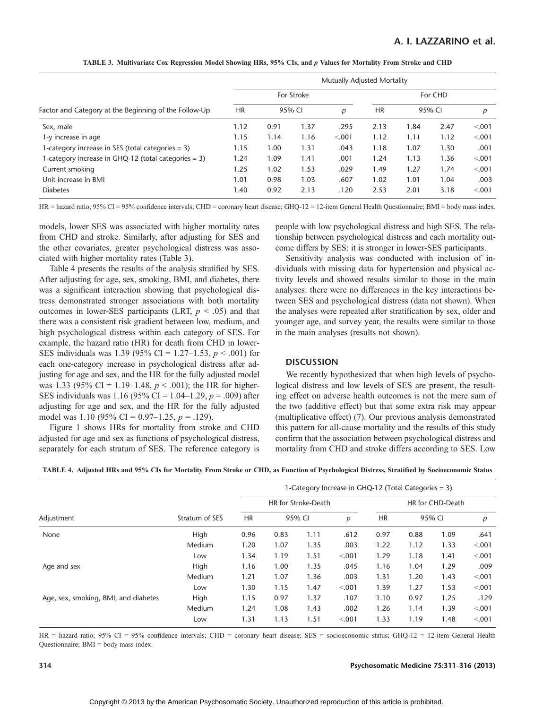|                                                       | Mutually Adjusted Mortality |            |      |           |      |         |      |         |  |
|-------------------------------------------------------|-----------------------------|------------|------|-----------|------|---------|------|---------|--|
|                                                       |                             | For Stroke |      |           |      | For CHD |      |         |  |
| Factor and Category at the Beginning of the Follow-Up | <b>HR</b><br>95% CI         |            | р    | <b>HR</b> |      | 95% CI  | p    |         |  |
| Sex, male                                             | 1.12                        | 0.91       | 1.37 | .295      | 2.13 | 1.84    | 2.47 | < 0.001 |  |
| 1-y increase in age                                   | 1.15                        | 1.14       | 1.16 | < 0.001   | 1.12 | 1.11    | 1.12 | < 0.001 |  |
| 1-category increase in SES (total categories = 3)     | 1.15                        | 1.00       | 1.31 | .043      | 1.18 | 1.07    | 1.30 | .001    |  |
| 1-category increase in GHQ-12 (total categories = 3)  | 1.24                        | 1.09       | 1.41 | .001      | 1.24 | 1.13    | 1.36 | < 0.001 |  |
| Current smoking                                       | 1.25                        | 1.02       | 1.53 | .029      | 1.49 | 1.27    | 1.74 | < 0.001 |  |
| Unit increase in BMI                                  | 1.01                        | 0.98       | 1.03 | .607      | 1.02 | 1.01    | 1.04 | .003    |  |
| <b>Diabetes</b>                                       | 1.40                        | 0.92       | 2.13 | .120      | 2.53 | 2.01    | 3.18 | < 0.001 |  |

TABLE 3. Multivariate Cox Regression Model Showing HRs, 95% CIs, and p Values for Mortality From Stroke and CHD

HR = hazard ratio; 95% CI = 95% confidence intervals; CHD = coronary heart disease; GHQ-12 = 12-item General Health Questionnaire; BMI = body mass index.

models, lower SES was associated with higher mortality rates from CHD and stroke. Similarly, after adjusting for SES and the other covariates, greater psychological distress was associated with higher mortality rates (Table 3).

Table 4 presents the results of the analysis stratified by SES. After adjusting for age, sex, smoking, BMI, and diabetes, there was a significant interaction showing that psychological distress demonstrated stronger associations with both mortality outcomes in lower-SES participants (LRT,  $p < .05$ ) and that there was a consistent risk gradient between low, medium, and high psychological distress within each category of SES. For example, the hazard ratio (HR) for death from CHD in lower-SES individuals was 1.39 (95% CI = 1.27–1.53,  $p < .001$ ) for each one-category increase in psychological distress after adjusting for age and sex, and the HR for the fully adjusted model was 1.33 (95% CI = 1.19–1.48,  $p < .001$ ); the HR for higher-SES individuals was 1.16 (95% CI = 1.04–1.29,  $p = .009$ ) after adjusting for age and sex, and the HR for the fully adjusted model was 1.10 (95% CI = 0.97–1.25,  $p = .129$ ).

Figure 1 shows HRs for mortality from stroke and CHD adjusted for age and sex as functions of psychological distress, separately for each stratum of SES. The reference category is people with low psychological distress and high SES. The relationship between psychological distress and each mortality outcome differs by SES: it is stronger in lower-SES participants.

Sensitivity analysis was conducted with inclusion of individuals with missing data for hypertension and physical activity levels and showed results similar to those in the main analyses: there were no differences in the key interactions between SES and psychological distress (data not shown). When the analyses were repeated after stratification by sex, older and younger age, and survey year, the results were similar to those in the main analyses (results not shown).

### **DISCUSSION**

We recently hypothesized that when high levels of psychological distress and low levels of SES are present, the resulting effect on adverse health outcomes is not the mere sum of the two (additive effect) but that some extra risk may appear (multiplicative effect) (7). Our previous analysis demonstrated this pattern for all-cause mortality and the results of this study confirm that the association between psychological distress and mortality from CHD and stroke differs according to SES. Low

| TABLE 4. Adjusted HRs and 95% CIs for Mortality From Stroke or CHD, as Function of Psychological Distress, Stratified by Socioeconomic Status |  |  |  |  |  |
|-----------------------------------------------------------------------------------------------------------------------------------------------|--|--|--|--|--|
|-----------------------------------------------------------------------------------------------------------------------------------------------|--|--|--|--|--|

|                                      | Stratum of SES | 1-Category Increase in GHQ-12 (Total Categories = 3) |        |      |        |                  |      |        |         |  |
|--------------------------------------|----------------|------------------------------------------------------|--------|------|--------|------------------|------|--------|---------|--|
|                                      |                | HR for Stroke-Death                                  |        |      |        | HR for CHD-Death |      |        |         |  |
| Adjustment                           |                | <b>HR</b>                                            | 95% CI |      | р      | <b>HR</b>        |      | 95% CI | р       |  |
| None                                 | High           | 0.96                                                 | 0.83   | 1.11 | .612   | 0.97             | 0.88 | 1.09   | .641    |  |
|                                      | Medium         | 1.20                                                 | 1.07   | 1.35 | .003   | 1.22             | 1.12 | 1.33   | < .001  |  |
|                                      | Low            | 1.34                                                 | 1.19   | 1.51 | < 0.01 | 1.29             | 1.18 | 1.41   | < 0.001 |  |
| Age and sex                          | High           | 1.16                                                 | 1.00   | 1.35 | .045   | 1.16             | 1.04 | 1.29   | .009    |  |
|                                      | Medium         | 1.21                                                 | 1.07   | 1.36 | .003   | 1.31             | 1.20 | 1.43   | < .001  |  |
|                                      | Low            | 1.30                                                 | 1.15   | 1.47 | < 0.01 | 1.39             | 1.27 | 1.53   | < .001  |  |
| Age, sex, smoking, BMI, and diabetes | High           | 1.15                                                 | 0.97   | 1.37 | .107   | 1.10             | 0.97 | 1.25   | .129    |  |
|                                      | Medium         | 1.24                                                 | 1.08   | 1.43 | .002   | 1.26             | 1.14 | 1.39   | < 0.001 |  |
|                                      | Low            | 1.31                                                 | 1.13   | 1.51 | < 0.01 | 1.33             | 1.19 | 1.48   | < .001  |  |

HR = hazard ratio; 95% CI = 95% confidence intervals; CHD = coronary heart disease; SES = socioeconomic status; GHQ-12 = 12-item General Health Questionnaire; BMI = body mass index.

### 314 **Psychosomatic Medicine 75:311-316 (2013)** Psychosomatic Medicine 75:311-316 (2013)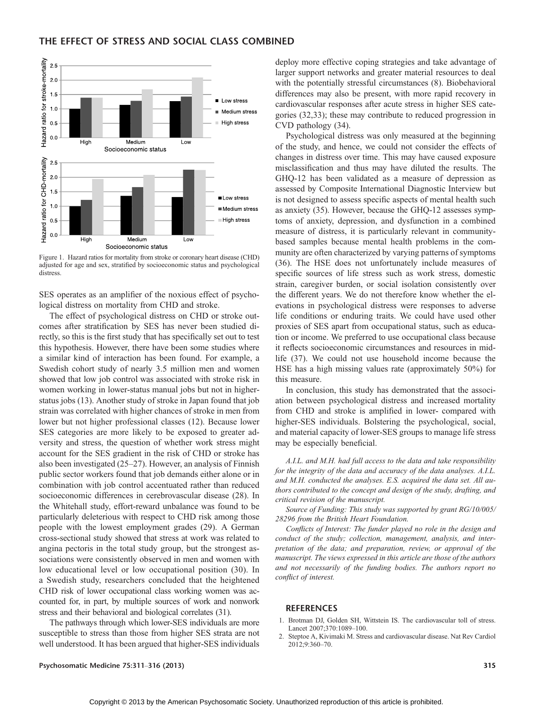# THE EFFECT OF STRESS AND SOCIAL CLASS COMBINED



Figure 1. Hazard ratios for mortality from stroke or coronary heart disease (CHD) adjusted for age and sex, stratified by socioeconomic status and psychological distress.

SES operates as an amplifier of the noxious effect of psychological distress on mortality from CHD and stroke.

The effect of psychological distress on CHD or stroke outcomes after stratification by SES has never been studied directly, so this is the first study that has specifically set out to test this hypothesis. However, there have been some studies where a similar kind of interaction has been found. For example, a Swedish cohort study of nearly 3.5 million men and women showed that low job control was associated with stroke risk in women working in lower-status manual jobs but not in higherstatus jobs (13). Another study of stroke in Japan found that job strain was correlated with higher chances of stroke in men from lower but not higher professional classes (12). Because lower SES categories are more likely to be exposed to greater adversity and stress, the question of whether work stress might account for the SES gradient in the risk of CHD or stroke has also been investigated  $(25-27)$ . However, an analysis of Finnish public sector workers found that job demands either alone or in combination with job control accentuated rather than reduced socioeconomic differences in cerebrovascular disease (28). In the Whitehall study, effort-reward unbalance was found to be particularly deleterious with respect to CHD risk among those people with the lowest employment grades (29). A German cross-sectional study showed that stress at work was related to angina pectoris in the total study group, but the strongest associations were consistently observed in men and women with low educational level or low occupational position (30). In a Swedish study, researchers concluded that the heightened CHD risk of lower occupational class working women was accounted for, in part, by multiple sources of work and nonwork stress and their behavioral and biological correlates (31).

The pathways through which lower-SES individuals are more susceptible to stress than those from higher SES strata are not well understood. It has been argued that higher-SES individuals

deploy more effective coping strategies and take advantage of larger support networks and greater material resources to deal with the potentially stressful circumstances (8). Biobehavioral differences may also be present, with more rapid recovery in cardiovascular responses after acute stress in higher SES categories (32,33); these may contribute to reduced progression in CVD pathology (34).

Psychological distress was only measured at the beginning of the study, and hence, we could not consider the effects of changes in distress over time. This may have caused exposure misclassification and thus may have diluted the results. The GHQ-12 has been validated as a measure of depression as assessed by Composite International Diagnostic Interview but is not designed to assess specific aspects of mental health such as anxiety (35). However, because the GHQ-12 assesses symptoms of anxiety, depression, and dysfunction in a combined measure of distress, it is particularly relevant in communitybased samples because mental health problems in the community are often characterized by varying patterns of symptoms (36). The HSE does not unfortunately include measures of specific sources of life stress such as work stress, domestic strain, caregiver burden, or social isolation consistently over the different years. We do not therefore know whether the elevations in psychological distress were responses to adverse life conditions or enduring traits. We could have used other proxies of SES apart from occupational status, such as education or income. We preferred to use occupational class because it reflects socioeconomic circumstances and resources in midlife (37). We could not use household income because the HSE has a high missing values rate (approximately 50%) for this measure.

In conclusion, this study has demonstrated that the association between psychological distress and increased mortality from CHD and stroke is amplified in lower- compared with higher-SES individuals. Bolstering the psychological, social, and material capacity of lower-SES groups to manage life stress may be especially beneficial.

A.I.L. and M.H. had full access to the data and take responsibility for the integrity of the data and accuracy of the data analyses. A.I.L. and M.H. conducted the analyses. E.S. acquired the data set. All authors contributed to the concept and design of the study, drafting, and critical revision of the manuscript.

Source of Funding: This study was supported by grant RG/10/005/ 28296 from the British Heart Foundation.

Conflicts of Interest: The funder played no role in the design and conduct of the study; collection, management, analysis, and interpretation of the data; and preparation, review, or approval of the manuscript. The views expressed in this article are those of the authors and not necessarily of the funding bodies. The authors report no conflict of interest.

### **REFERENCES**

- 1. Brotman DJ, Golden SH, Wittstein IS. The cardiovascular toll of stress. Lancet 2007;370:1089-100.
- 2. Steptoe A, Kivimaki M. Stress and cardiovascular disease. Nat Rev Cardiol 2012;9:360-70.